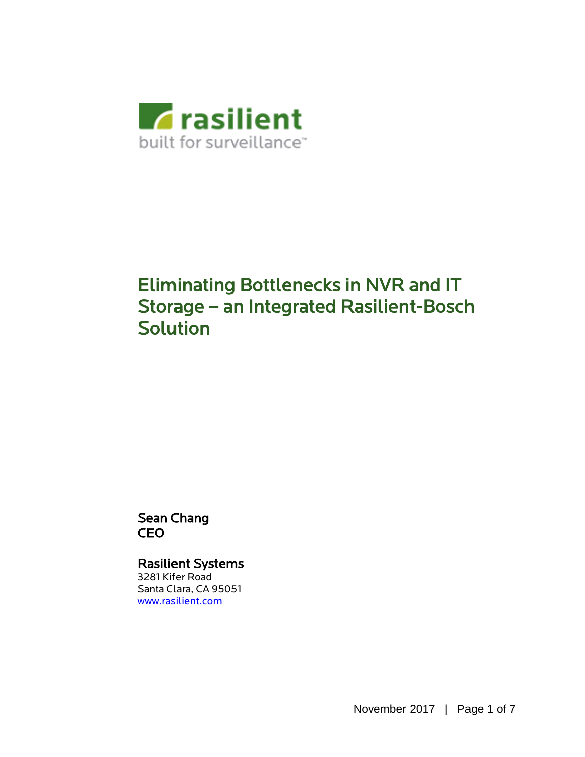

### Eliminating Bottlenecks in NVR and IT Storage – an Integrated Rasilient-Bosch Solution

Sean Chang **CEO** 

Rasilient Systems 3281 Kifer Road Santa Clara, CA 95051 [www.rasilient.com](http://www.rasilient.com/)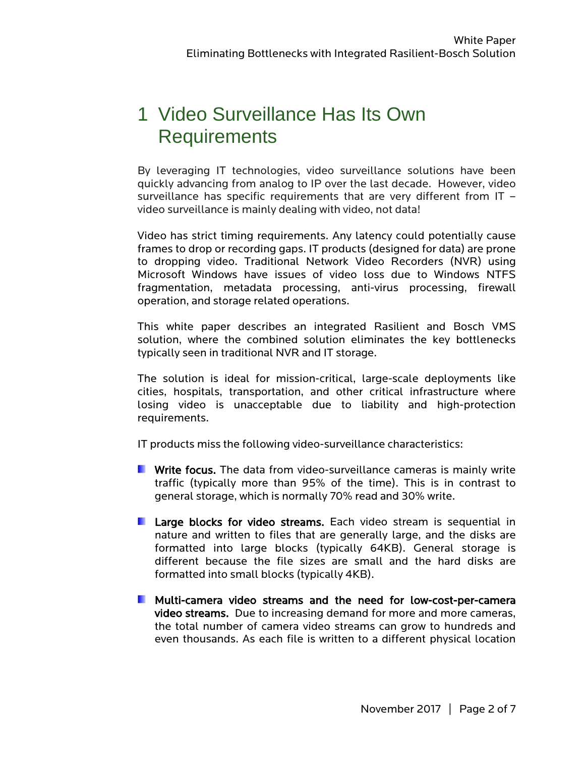## 1 Video Surveillance Has Its Own Requirements

By leveraging IT technologies, video surveillance solutions have been quickly advancing from analog to IP over the last decade. However, video surveillance has specific requirements that are very different from IT – video surveillance is mainly dealing with video, not data!

Video has strict timing requirements. Any latency could potentially cause frames to drop or recording gaps. IT products (designed for data) are prone to dropping video. Traditional Network Video Recorders (NVR) using Microsoft Windows have issues of video loss due to Windows NTFS fragmentation, metadata processing, anti-virus processing, firewall operation, and storage related operations.

This white paper describes an integrated Rasilient and Bosch VMS solution, where the combined solution eliminates the key bottlenecks typically seen in traditional NVR and IT storage.

The solution is ideal for mission-critical, large-scale deployments like cities, hospitals, transportation, and other critical infrastructure where losing video is unacceptable due to liability and high-protection requirements.

IT products miss the following video-surveillance characteristics:

- **E** Write focus. The data from video-surveillance cameras is mainly write traffic (typically more than 95% of the time). This is in contrast to general storage, which is normally 70% read and 30% write.
- **Large blocks for video streams.** Each video stream is sequential in nature and written to files that are generally large, and the disks are formatted into large blocks (typically 64KB). General storage is different because the file sizes are small and the hard disks are formatted into small blocks (typically 4KB).
- Multi-camera video streams and the need for low-cost-per-camera video streams. Due to increasing demand for more and more cameras, the total number of camera video streams can grow to hundreds and even thousands. As each file is written to a different physical location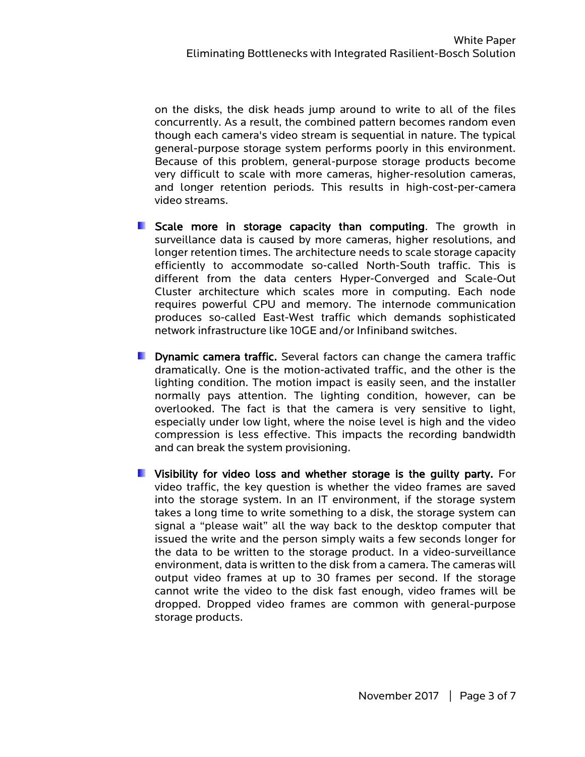on the disks, the disk heads jump around to write to all of the files concurrently. As a result, the combined pattern becomes random even though each camera's video stream is sequential in nature. The typical general-purpose storage system performs poorly in this environment. Because of this problem, general-purpose storage products become very difficult to scale with more cameras, higher-resolution cameras, and longer retention periods. This results in high-cost-per-camera video streams.

- **E.** Scale more in storage capacity than computing. The growth in surveillance data is caused by more cameras, higher resolutions, and longer retention times. The architecture needs to scale storage capacity efficiently to accommodate so-called North-South traffic. This is different from the data centers Hyper-Converged and Scale-Out Cluster architecture which scales more in computing. Each node requires powerful CPU and memory. The internode communication produces so-called East-West traffic which demands sophisticated network infrastructure like 10GE and/or Infiniband switches.
- **Dynamic camera traffic.** Several factors can change the camera traffic dramatically. One is the motion-activated traffic, and the other is the lighting condition. The motion impact is easily seen, and the installer normally pays attention. The lighting condition, however, can be overlooked. The fact is that the camera is very sensitive to light, especially under low light, where the noise level is high and the video compression is less effective. This impacts the recording bandwidth and can break the system provisioning.
- **E** Visibility for video loss and whether storage is the quilty party. For video traffic, the key question is whether the video frames are saved into the storage system. In an IT environment, if the storage system takes a long time to write something to a disk, the storage system can signal a "please wait" all the way back to the desktop computer that issued the write and the person simply waits a few seconds longer for the data to be written to the storage product. In a video-surveillance environment, data is written to the disk from a camera. The cameras will output video frames at up to 30 frames per second. If the storage cannot write the video to the disk fast enough, video frames will be dropped. Dropped video frames are common with general-purpose storage products.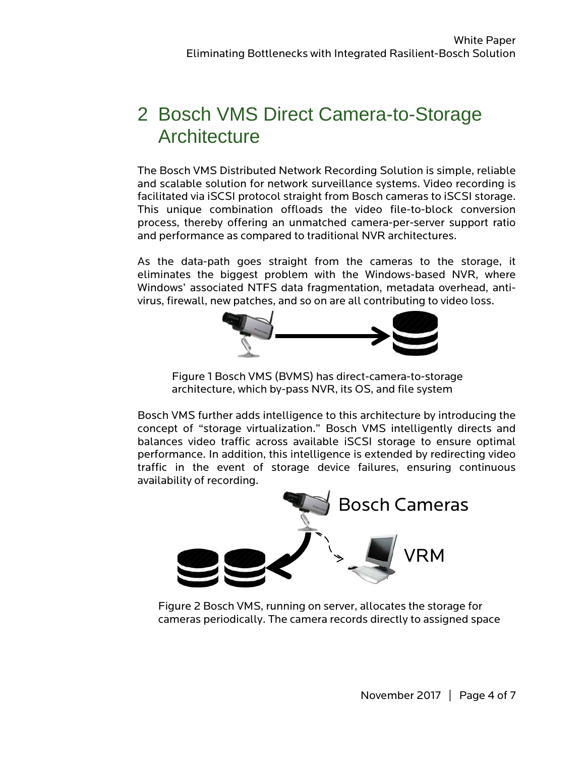# 2 Bosch VMS Direct Camera-to-Storage **Architecture**

The Bosch VMS Distributed Network Recording Solution is simple, reliable and scalable solution for network surveillance systems. Video recording is facilitated via iSCSI protocol straight from Bosch cameras to iSCSI storage. This unique combination offloads the video file-to-block conversion process, thereby offering an unmatched camera-per-server support ratio and performance as compared to traditional NVR architectures.

As the data-path goes straight from the cameras to the storage, it eliminates the biggest problem with the Windows-based NVR, where Windows' associated NTFS data fragmentation, metadata overhead, antivirus, firewall, new patches, and so on are all contributing to video loss.



Figure 1 Bosch VMS (BVMS) has direct-camera-to-storage architecture, which by-pass NVR, its OS, and file system

Bosch VMS further adds intelligence to this architecture by introducing the concept of "storage virtualization." Bosch VMS intelligently directs and balances video traffic across available iSCSI storage to ensure optimal performance. In addition, this intelligence is extended by redirecting video traffic in the event of storage device failures, ensuring continuous availability of recording.



Figure 2 Bosch VMS, running on server, allocates the storage for cameras periodically. The camera records directly to assigned space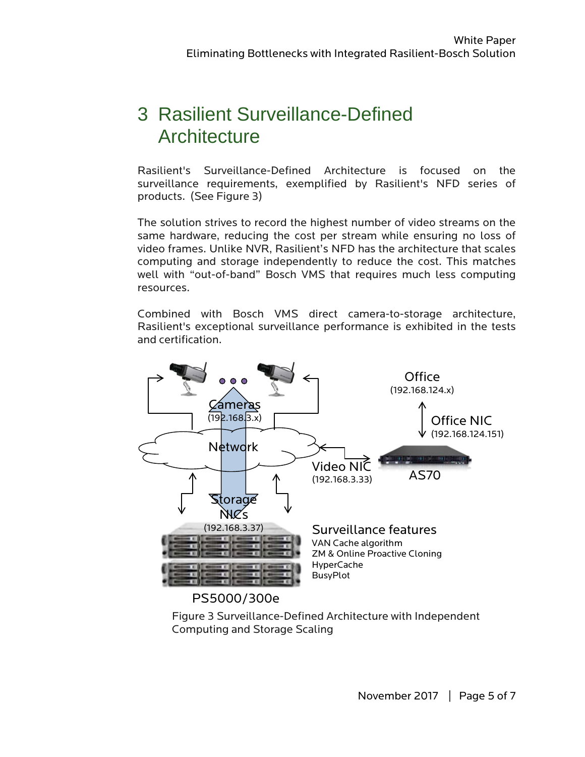## 3 Rasilient Surveillance-Defined **Architecture**

Rasilient's Surveillance-Defined Architecture is focused on the surveillance requirements, exemplified by Rasilient's NFD series of products. (See Figure 3)

The solution strives to record the highest number of video streams on the same hardware, reducing the cost per stream while ensuring no loss of video frames. Unlike NVR, Rasilient's NFD has the architecture that scales computing and storage independently to reduce the cost. This matches well with "out-of-band" Bosch VMS that requires much less computing resources.

Combined with Bosch VMS direct camera-to-storage architecture, Rasilient's exceptional surveillance performance is exhibited in the tests and certification.



Figure 3 Surveillance-Defined Architecture with Independent Computing and Storage Scaling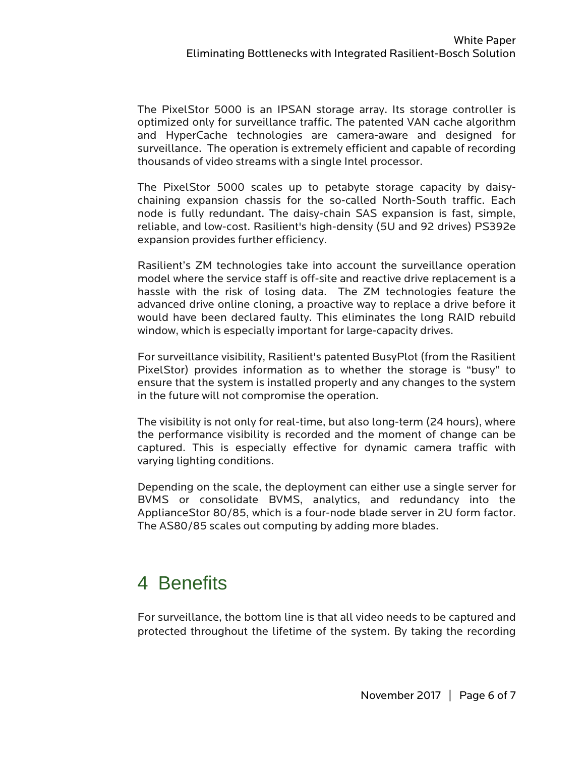The PixelStor 5000 is an IPSAN storage array. Its storage controller is optimized only for surveillance traffic. The patented VAN cache algorithm and HyperCache technologies are camera-aware and designed for surveillance. The operation is extremely efficient and capable of recording thousands of video streams with a single Intel processor.

The PixelStor 5000 scales up to petabyte storage capacity by daisychaining expansion chassis for the so-called North-South traffic. Each node is fully redundant. The daisy-chain SAS expansion is fast, simple, reliable, and low-cost. Rasilient's high-density (5U and 92 drives) PS392e expansion provides further efficiency.

Rasilient's ZM technologies take into account the surveillance operation model where the service staff is off-site and reactive drive replacement is a hassle with the risk of losing data. The ZM technologies feature the advanced drive online cloning, a proactive way to replace a drive before it would have been declared faulty. This eliminates the long RAID rebuild window, which is especially important for large-capacity drives.

For surveillance visibility, Rasilient's patented BusyPlot (from the Rasilient PixelStor) provides information as to whether the storage is "busy" to ensure that the system is installed properly and any changes to the system in the future will not compromise the operation.

The visibility is not only for real-time, but also long-term (24 hours), where the performance visibility is recorded and the moment of change can be captured. This is especially effective for dynamic camera traffic with varying lighting conditions.

Depending on the scale, the deployment can either use a single server for BVMS or consolidate BVMS, analytics, and redundancy into the ApplianceStor 80/85, which is a four-node blade server in 2U form factor. The AS80/85 scales out computing by adding more blades.

### 4 Benefits

For surveillance, the bottom line is that all video needs to be captured and protected throughout the lifetime of the system. By taking the recording